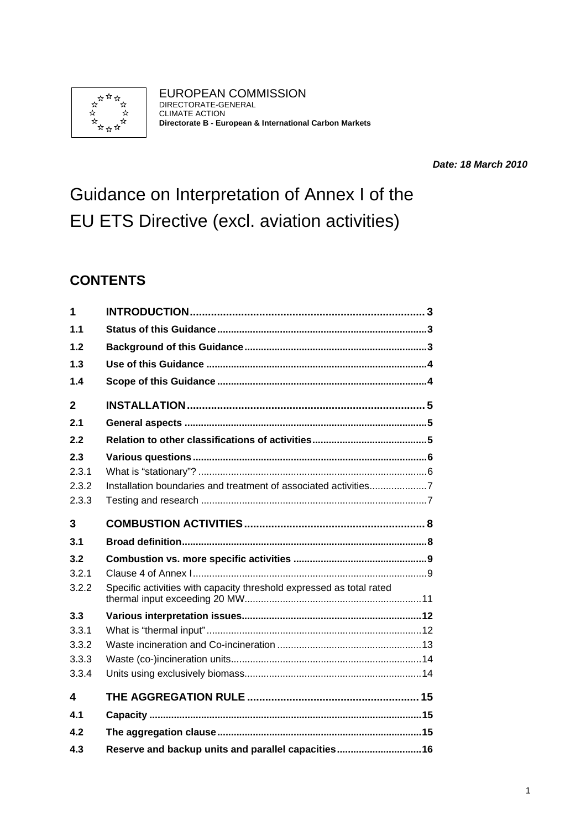

EUROPEAN COMMISSION DIRECTORATE-GENERAL CLIMATE ACTION **Directorate B - European & International Carbon Markets** 

*Date: 18 March 2010* 

Guidance on Interpretation of Annex I of the EU ETS Directive (excl. aviation activities)

# **CONTENTS**

| 1            |                                                                      |
|--------------|----------------------------------------------------------------------|
| 1.1          |                                                                      |
| 1.2          |                                                                      |
| 1.3          |                                                                      |
| 1.4          |                                                                      |
| $\mathbf{2}$ |                                                                      |
| 2.1          |                                                                      |
| 2.2          |                                                                      |
| 2.3          |                                                                      |
| 2.3.1        |                                                                      |
| 2.3.2        | Installation boundaries and treatment of associated activities7      |
| 2.3.3        |                                                                      |
| 3            |                                                                      |
|              |                                                                      |
| 3.1          |                                                                      |
| 3.2          |                                                                      |
| 3.2.1        |                                                                      |
| 3.2.2        | Specific activities with capacity threshold expressed as total rated |
| 3.3          |                                                                      |
| 3.3.1        |                                                                      |
| 3.3.2        |                                                                      |
| 3.3.3        |                                                                      |
| 3.3.4        |                                                                      |
| 4            |                                                                      |
| 41           |                                                                      |
| 4.2          |                                                                      |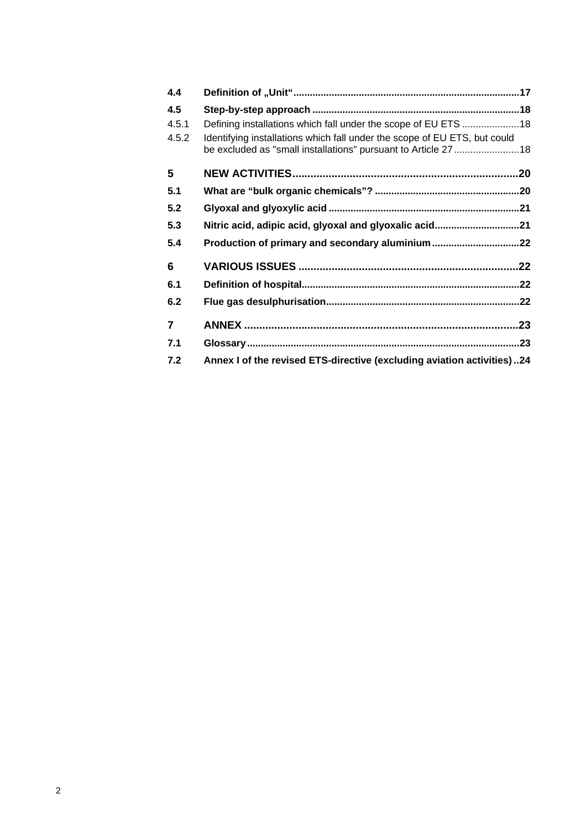| 4.4            |                                                                                                                                            |     |
|----------------|--------------------------------------------------------------------------------------------------------------------------------------------|-----|
| 4.5            |                                                                                                                                            |     |
| 4.5.1          | Defining installations which fall under the scope of EU ETS 18                                                                             |     |
| 4.5.2          | Identifying installations which fall under the scope of EU ETS, but could<br>be excluded as "small installations" pursuant to Article 2718 |     |
| 5              |                                                                                                                                            |     |
| 5.1            |                                                                                                                                            |     |
| 5.2            |                                                                                                                                            |     |
| 5.3            | Nitric acid, adipic acid, glyoxal and glyoxalic acid21                                                                                     |     |
| 5.4            |                                                                                                                                            |     |
| 6              |                                                                                                                                            | 22  |
| 6.1            |                                                                                                                                            |     |
| 6.2            |                                                                                                                                            |     |
| $\overline{7}$ |                                                                                                                                            | .23 |
| 7.1            |                                                                                                                                            |     |
| 7.2            | Annex I of the revised ETS-directive (excluding aviation activities)24                                                                     |     |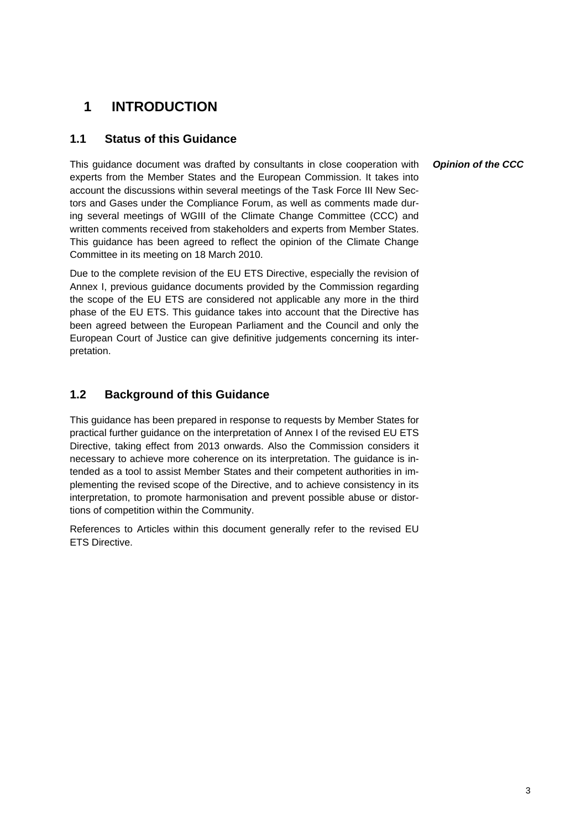# <span id="page-2-0"></span>**1 INTRODUCTION**

### <span id="page-2-1"></span>**1.1 Status of this Guidance**

This guidance document was drafted by consultants in close cooperation with experts from the Member States and the European Commission. It takes into account the discussions within several meetings of the Task Force III New Sectors and Gases under the Compliance Forum, as well as comments made during several meetings of WGIII of the Climate Change Committee (CCC) and written comments received from stakeholders and experts from Member States. This guidance has been agreed to reflect the opinion of the Climate Change Committee in its meeting on 18 March 2010.

Due to the complete revision of the EU ETS Directive, especially the revision of Annex I, previous guidance documents provided by the Commission regarding the scope of the EU ETS are considered not applicable any more in the third phase of the EU ETS. This guidance takes into account that the Directive has been agreed between the European Parliament and the Council and only the European Court of Justice can give definitive judgements concerning its interpretation.

### <span id="page-2-2"></span>**1.2 Background of this Guidance**

This guidance has been prepared in response to requests by Member States for practical further guidance on the interpretation of Annex I of the revised EU ETS Directive, taking effect from 2013 onwards. Also the Commission considers it necessary to achieve more coherence on its interpretation. The guidance is intended as a tool to assist Member States and their competent authorities in implementing the revised scope of the Directive, and to achieve consistency in its interpretation, to promote harmonisation and prevent possible abuse or distortions of competition within the Community.

References to Articles within this document generally refer to the revised EU ETS Directive.

#### *Opinion of the CCC*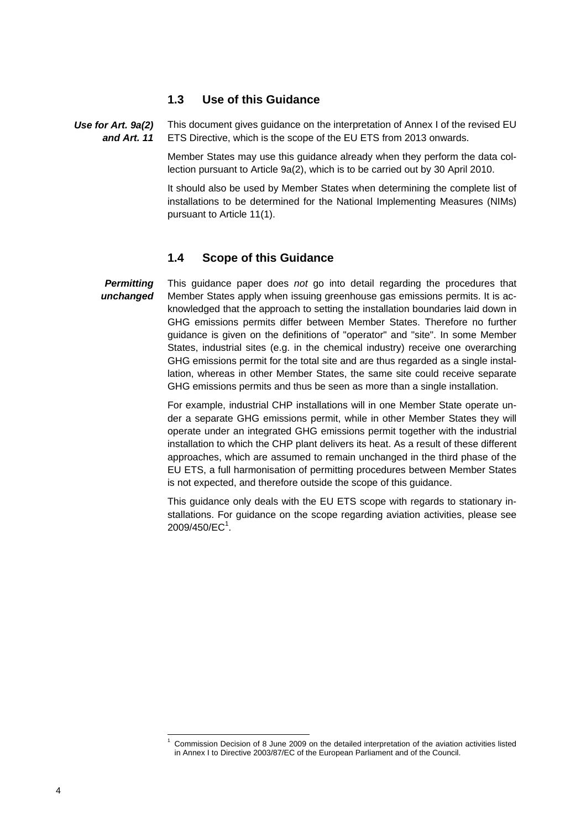### **1.3 Use of this Guidance**

<span id="page-3-0"></span>This document gives guidance on the interpretation of Annex I of the revised EU ETS Directive, which is the scope of the EU ETS from 2013 onwards. *Use for Art. 9a(2) and Art. 11* 

> Member States may use this guidance already when they perform the data collection pursuant to Article 9a(2), which is to be carried out by 30 April 2010.

> It should also be used by Member States when determining the complete list of installations to be determined for the National Implementing Measures (NIMs) pursuant to Article 11(1).

#### **1.4 Scope of this Guidance**

<span id="page-3-1"></span>This guidance paper does *not* go into detail regarding the procedures that Member States apply when issuing greenhouse gas emissions permits. It is acknowledged that the approach to setting the installation boundaries laid down in GHG emissions permits differ between Member States. Therefore no further guidance is given on the definitions of "operator" and "site". In some Member States, industrial sites (e.g. in the chemical industry) receive one overarching GHG emissions permit for the total site and are thus regarded as a single installation, whereas in other Member States, the same site could receive separate GHG emissions permits and thus be seen as more than a single installation. *Permitting unchanged* 

> For example, industrial CHP installations will in one Member State operate under a separate GHG emissions permit, while in other Member States they will operate under an integrated GHG emissions permit together with the industrial installation to which the CHP plant delivers its heat. As a result of these different approaches, which are assumed to remain unchanged in the third phase of the EU ETS, a full harmonisation of permitting procedures between Member States is not expected, and therefore outside the scope of this guidance.

> This guidance only deals with the EU ETS scope with regards to stationary installations. For guidance on the scope regarding aviation activities, please see  $2009/450$ /EC<sup>1</sup>.

l 1

Commission Decision of 8 June 2009 on the detailed interpretation of the aviation activities listed in Annex I to Directive 2003/87/EC of the European Parliament and of the Council.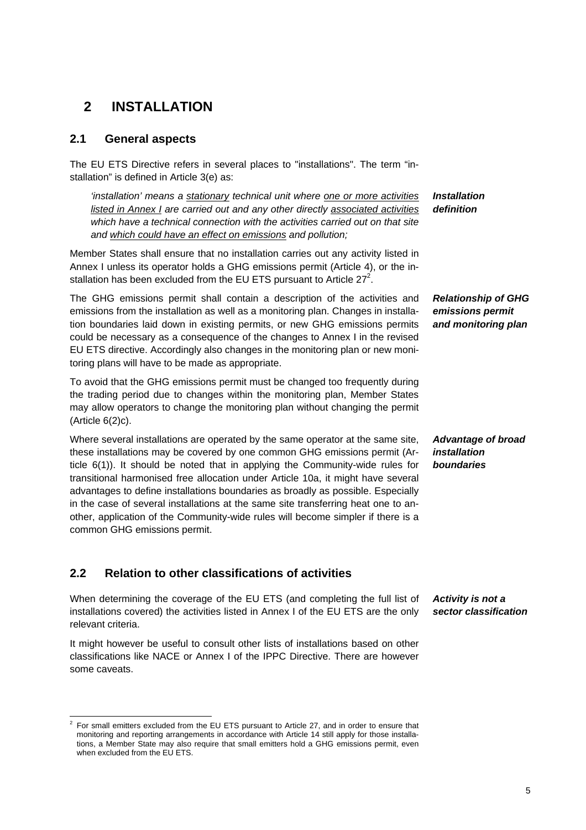# <span id="page-4-0"></span>**2 INSTALLATION**

### <span id="page-4-1"></span>**2.1 General aspects**

The EU ETS Directive refers in several places to "installations". The term "installation" is defined in Article 3(e) as:

*'installation' means a stationary technical unit where one or more activities listed in Annex I are carried out and any other directly associated activities* which have a technical connection with the activities carried out on that site *and which could have an effect on emissions and pollution;* 

Member States shall ensure that no installation carries out any activity listed in Annex I unless its operator holds a GHG emissions permit (Article 4), or the installation has been excluded from the EU ETS pursuant to Article 27<sup>2</sup>.

The GHG emissions permit shall contain a description of the activities and emissions from the installation as well as a monitoring plan. Changes in installation boundaries laid down in existing permits, or new GHG emissions permits could be necessary as a consequence of the changes to Annex I in the revised EU ETS directive. Accordingly also changes in the monitoring plan or new monitoring plans will have to be made as appropriate.

To avoid that the GHG emissions permit must be changed too frequently during the trading period due to changes within the monitoring plan, Member States may allow operators to change the monitoring plan without changing the permit (Article 6(2)c).

Where several installations are operated by the same operator at the same site, these installations may be covered by one common GHG emissions permit (Article 6(1)). It should be noted that in applying the Community-wide rules for transitional harmonised free allocation under Article 10a, it might have several advantages to define installations boundaries as broadly as possible. Especially in the case of several installations at the same site transferring heat one to another, application of the Community-wide rules will become simpler if there is a common GHG emissions permit.

### <span id="page-4-3"></span><span id="page-4-2"></span>**2.2 Relation to other classifications of activities**

l

When determining the coverage of the EU ETS (and completing the full list of installations covered) the activities listed in Annex I of the EU ETS are the only relevant criteria.

It might however be useful to consult other lists of installations based on other classifications like NACE or Annex I of the IPPC Directive. There are however some caveats.

*Installation definition* 

*Relationship of GHG emissions permit and monitoring plan* 

*Advantage of broad installation boundaries* 

*Activity is not a sector classification* 

<sup>2</sup> For small emitters excluded from the EU ETS pursuant to Article 27, and in order to ensure that monitoring and reporting arrangements in accordance with Article 14 still apply for those installations, a Member State may also require that small emitters hold a GHG emissions permit, even when excluded from the EU ETS.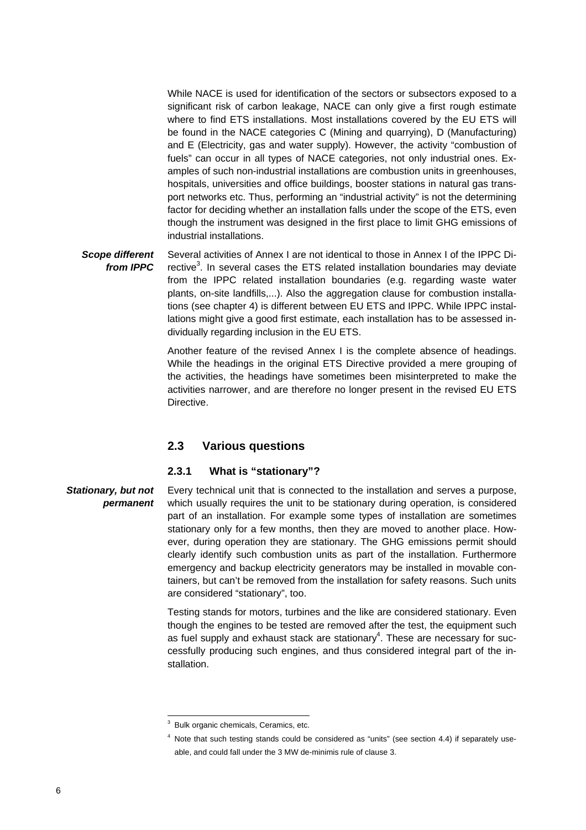While NACE is used for identification of the sectors or subsectors exposed to a significant risk of carbon leakage, NACE can only give a first rough estimate where to find ETS installations. Most installations covered by the EU ETS will be found in the NACE categories C (Mining and quarrying), D (Manufacturing) and E (Electricity, gas and water supply). However, the activity "combustion of fuels" can occur in all types of NACE categories, not only industrial ones. Examples of such non-industrial installations are combustion units in greenhouses, hospitals, universities and office buildings, booster stations in natural gas transport networks etc. Thus, performing an "industrial activity" is not the determining factor for deciding whether an installation falls under the scope of the ETS, even though the instrument was designed in the first place to limit GHG emissions of industrial installations.

Several activities of Annex I are not identical to those in Annex I of the IPPC Directive<sup>3</sup>. In several cases the ETS related installation boundaries may deviate from the IPPC related installation boundaries (e.g. regarding waste water plants, on-site landfills,...). Also the aggregation clause for combustion installations (see chapter 4) is different between EU ETS and IPPC. While IPPC installations might give a good first estimate, each installation has to be assessed individually regarding inclusion in the EU ETS. *Scope different from IPPC* 

> Another feature of the revised Annex I is the complete absence of headings. While the headings in the original ETS Directive provided a mere grouping of the activities, the headings have sometimes been misinterpreted to make the activities narrower, and are therefore no longer present in the revised EU ETS Directive.

### **2.3 Various questions**

#### **2.3.1 What is "stationary"?**

<span id="page-5-1"></span><span id="page-5-0"></span>Every technical unit that is connected to the installation and serves a purpose, which usually requires the unit to be stationary during operation, is considered part of an installation. For example some types of installation are sometimes stationary only for a few months, then they are moved to another place. However, during operation they are stationary. The GHG emissions permit should clearly identify such combustion units as part of the installation. Furthermore emergency and backup electricity generators may be installed in movable containers, but can't be removed from the installation for safety reasons. Such units are considered "stationary", too. *Stationary, but not permanent* 

> Testing stands for motors, turbines and the like are considered stationary. Even though the engines to be tested are removed after the test, the equipment such as fuel supply and exhaust stack are stationary $4$ . These are necessary for successfully producing such engines, and thus considered integral part of the installation.

l

<sup>3</sup> Bulk organic chemicals, Ceramics, etc.

<sup>&</sup>lt;sup>4</sup> Note that such testing stands could be considered as "units" (see sectio[n 4.4\)](#page-16-0) if separately useable, and could fall under the 3 MW de-minimis rule of clause 3.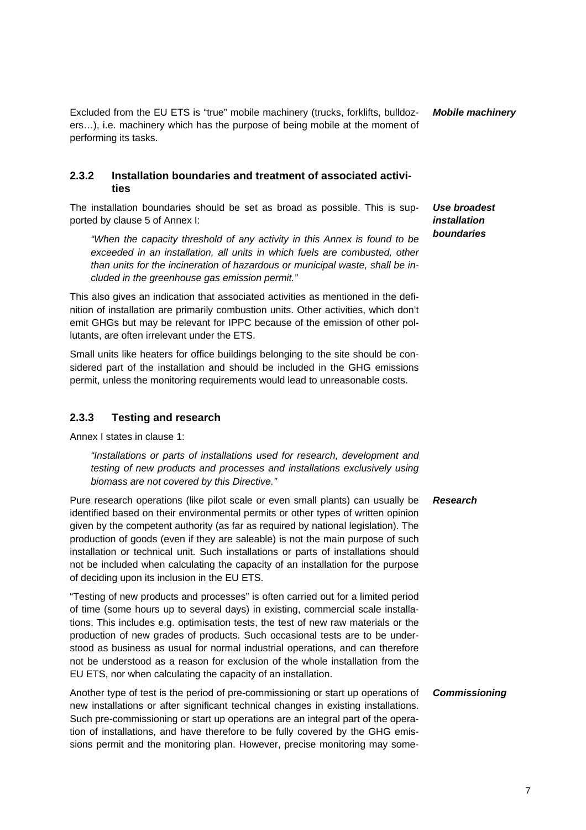Excluded from the EU ETS is "true" mobile machinery (trucks, forklifts, bulldozers…), i.e. machinery which has the purpose of being mobile at the moment of performing its tasks. *Mobile machinery* 

#### <span id="page-6-0"></span>**2.3.2 Installation boundaries and treatment of associated activities**

The installation boundaries should be set as broad as possible. This is supported by clause 5 of Annex I:

*"When the capacity threshold of any activity in this Annex is found to be exceeded in an installation, all units in which fuels are combusted, other than units for the incineration of hazardous or municipal waste, shall be included in the greenhouse gas emission permit."* 

This also gives an indication that associated activities as mentioned in the definition of installation are primarily combustion units. Other activities, which don't emit GHGs but may be relevant for IPPC because of the emission of other pollutants, are often irrelevant under the ETS.

Small units like heaters for office buildings belonging to the site should be considered part of the installation and should be included in the GHG emissions permit, unless the monitoring requirements would lead to unreasonable costs.

#### <span id="page-6-1"></span>**2.3.3 Testing and research**

Annex I states in clause 1:

*"Installations or parts of installations used for research, development and*  testing of new products and processes and installations exclusively using *biomass are not covered by this Directive."* 

Pure research operations (like pilot scale or even small plants) can usually be identified based on their environmental permits or other types of written opinion given by the competent authority (as far as required by national legislation). The production of goods (even if they are saleable) is not the main purpose of such installation or technical unit. Such installations or parts of installations should not be included when calculating the capacity of an installation for the purpose of deciding upon its inclusion in the EU ETS.

"Testing of new products and processes" is often carried out for a limited period of time (some hours up to several days) in existing, commercial scale installations. This includes e.g. optimisation tests, the test of new raw materials or the production of new grades of products. Such occasional tests are to be understood as business as usual for normal industrial operations, and can therefore not be understood as a reason for exclusion of the whole installation from the EU ETS, nor when calculating the capacity of an installation.

Another type of test is the period of pre-commissioning or start up operations of new installations or after significant technical changes in existing installations. Such pre-commissioning or start up operations are an integral part of the operation of installations, and have therefore to be fully covered by the GHG emissions permit and the monitoring plan. However, precise monitoring may some-

*Use broadest installation boundaries* 

#### *Research*

#### *Commissioning*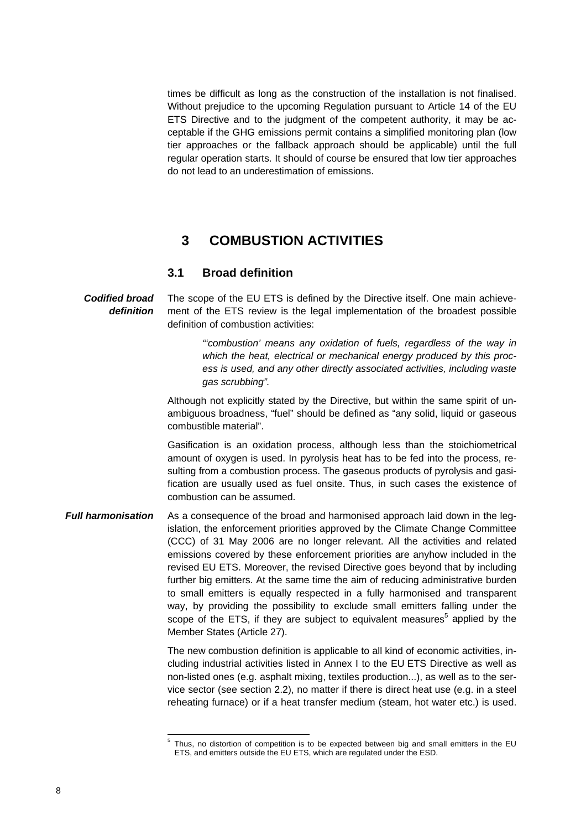times be difficult as long as the construction of the installation is not finalised. Without prejudice to the upcoming Regulation pursuant to Article 14 of the EU ETS Directive and to the judgment of the competent authority, it may be acceptable if the GHG emissions permit contains a simplified monitoring plan (low tier approaches or the fallback approach should be applicable) until the full regular operation starts. It should of course be ensured that low tier approaches do not lead to an underestimation of emissions.

### **3 COMBUSTION ACTIVITIES**

### **3.1 Broad definition**

<span id="page-7-1"></span><span id="page-7-0"></span>The scope of the EU ETS is defined by the Directive itself. One main achievement of the ETS review is the legal implementation of the broadest possible definition of combustion activities: *Codified broad definition* 

> *"'combustion' means any oxidation of fuels, regardless of the way in which the heat, electrical or mechanical energy produced by this process is used, and any other directly associated activities, including waste gas scrubbing".*

Although not explicitly stated by the Directive, but within the same spirit of unambiguous broadness, "fuel" should be defined as "any solid, liquid or gaseous combustible material".

Gasification is an oxidation process, although less than the stoichiometrical amount of oxygen is used. In pyrolysis heat has to be fed into the process, resulting from a combustion process. The gaseous products of pyrolysis and gasification are usually used as fuel onsite. Thus, in such cases the existence of combustion can be assumed.

As a consequence of the broad and harmonised approach laid down in the legislation, the enforcement priorities approved by the Climate Change Committee (CCC) of 31 May 2006 are no longer relevant. All the activities and related emissions covered by these enforcement priorities are anyhow included in the revised EU ETS. Moreover, the revised Directive goes beyond that by including further big emitters. At the same time the aim of reducing administrative burden to small emitters is equally respected in a fully harmonised and transparent way, by providing the possibility to exclude small emitters falling under the scope of the ETS, if they are subject to equivalent measures<sup>5</sup> applied by the Member States (Article 27). *Full harmonisation* 

> The new combustion definition is applicable to all kind of economic activities, including industrial activities listed in Annex I to the EU ETS Directive as well as non-listed ones (e.g. asphalt mixing, textiles production...), as well as to the service sector (see section [2.2\)](#page-4-2), no matter if there is direct heat use (e.g. in a steel reheating furnace) or if a heat transfer medium (steam, hot water etc.) is used.

l

<sup>5</sup> Thus, no distortion of competition is to be expected between big and small emitters in the EU ETS, and emitters outside the EU ETS, which are regulated under the ESD.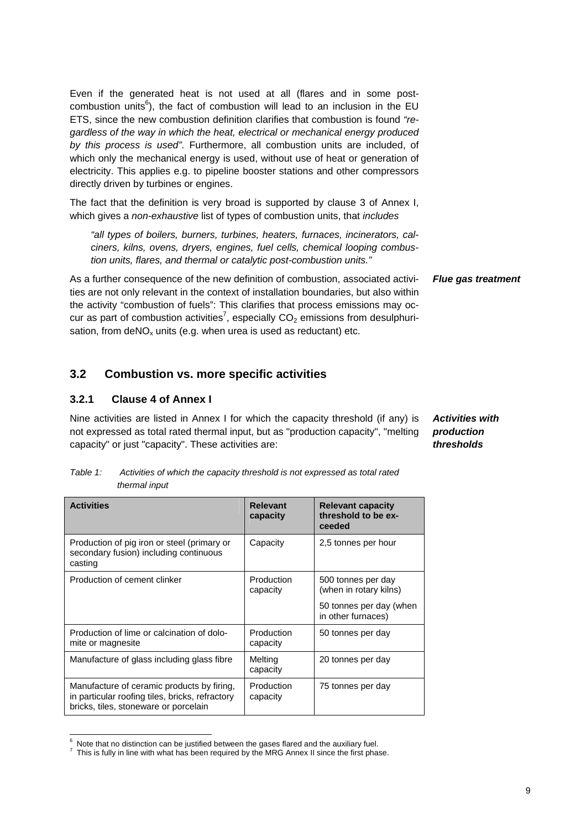Even if the generated heat is not used at all (flares and in some postcombustion units<sup>6</sup>), the fact of combustion will lead to an inclusion in the EU ETS, since the new combustion definition clarifies that combustion is found *"regardless of the way in which the heat, electrical or mechanical energy produced by this process is used"*. Furthermore, all combustion units are included, of which only the mechanical energy is used, without use of heat or generation of electricity. This applies e.g. to pipeline booster stations and other compressors directly driven by turbines or engines.

The fact that the definition is very broad is supported by clause 3 of Annex I, which gives a *non-exhaustive* list of types of combustion units, that *includes*

*"all types of boilers, burners, turbines, heaters, furnaces, incinerators, calciners, kilns, ovens, dryers, engines, fuel cells, chemical looping combustion units, flares, and thermal or catalytic post-combustion units."*

As a further consequence of the new definition of combustion, associated activities are not only relevant in the context of installation boundaries, but also within the activity "combustion of fuels": This clarifies that process emissions may occur as part of combustion activities<sup>7</sup>, especially CO<sub>2</sub> emissions from desulphurisation, from deNO<sub>x</sub> units (e.g. when urea is used as reductant) etc.

### <span id="page-8-1"></span><span id="page-8-0"></span>**3.2 Combustion vs. more specific activities**

#### **3.2.1 Clause 4 of Annex I**

l

Nine activities are listed in Annex I for which the capacity threshold (if any) is not expressed as total rated thermal input, but as "production capacity", "melting capacity" or just "capacity". These activities are:

*Table 1: Activities of which the capacity threshold is not expressed as total rated thermal input*

| <b>Activities</b>                                                                                                                      | <b>Relevant</b><br>capacity | <b>Relevant capacity</b><br>threshold to be ex-<br>ceeded |
|----------------------------------------------------------------------------------------------------------------------------------------|-----------------------------|-----------------------------------------------------------|
| Production of pig iron or steel (primary or<br>secondary fusion) including continuous<br>casting                                       | Capacity                    | 2,5 tonnes per hour                                       |
| Production of cement clinker                                                                                                           | Production<br>capacity      | 500 tonnes per day<br>(when in rotary kilns)              |
|                                                                                                                                        |                             | 50 tonnes per day (when<br>in other furnaces)             |
| Production of lime or calcination of dolo-<br>mite or magnesite                                                                        | Production<br>capacity      | 50 tonnes per day                                         |
| Manufacture of glass including glass fibre                                                                                             | Melting<br>capacity         | 20 tonnes per day                                         |
| Manufacture of ceramic products by firing,<br>in particular roofing tiles, bricks, refractory<br>bricks, tiles, stoneware or porcelain | Production<br>capacity      | 75 tonnes per day                                         |

<sup>6</sup> Note that no distinction can be justified between the gases flared and the auxiliary fuel. 7

#### *Flue gas treatment*

*Activities with production thresholds* 

This is fully in line with what has been required by the MRG Annex II since the first phase.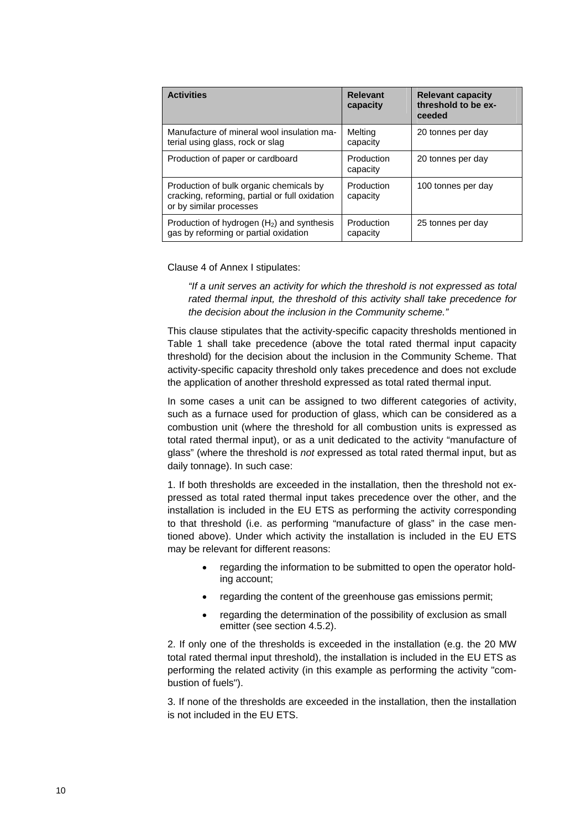| <b>Activities</b>                                                                                                    | <b>Relevant</b><br>capacity | <b>Relevant capacity</b><br>threshold to be ex-<br>ceeded |
|----------------------------------------------------------------------------------------------------------------------|-----------------------------|-----------------------------------------------------------|
| Manufacture of mineral wool insulation ma-<br>terial using glass, rock or slag                                       | Melting<br>capacity         | 20 tonnes per day                                         |
| Production of paper or cardboard                                                                                     | Production<br>capacity      | 20 tonnes per day                                         |
| Production of bulk organic chemicals by<br>cracking, reforming, partial or full oxidation<br>or by similar processes | Production<br>capacity      | 100 tonnes per day                                        |
| Production of hydrogen $(H2)$ and synthesis<br>gas by reforming or partial oxidation                                 | Production<br>capacity      | 25 tonnes per day                                         |

Clause 4 of Annex I stipulates:

*"If a unit serves an activity for which the threshold is not expressed as total rated thermal input, the threshold of this activity shall take precedence for the decision about the inclusion in the Community scheme."* 

This clause stipulates that the activity-specific capacity thresholds mentioned in Table 1 shall take precedence (above the total rated thermal input capacity threshold) for the decision about the inclusion in the Community Scheme. That activity-specific capacity threshold only takes precedence and does not exclude the application of another threshold expressed as total rated thermal input.

In some cases a unit can be assigned to two different categories of activity, such as a furnace used for production of glass, which can be considered as a combustion unit (where the threshold for all combustion units is expressed as total rated thermal input), or as a unit dedicated to the activity "manufacture of glass" (where the threshold is *not* expressed as total rated thermal input, but as daily tonnage). In such case:

1. If both thresholds are exceeded in the installation, then the threshold not expressed as total rated thermal input takes precedence over the other, and the installation is included in the EU ETS as performing the activity corresponding to that threshold (i.e. as performing "manufacture of glass" in the case mentioned above). Under which activity the installation is included in the EU ETS may be relevant for different reasons:

- regarding the information to be submitted to open the operator holding account;
- regarding the content of the greenhouse gas emissions permit;
- regarding the determination of the possibility of exclusion as small emitter (see section [4.5.2\).](#page-17-2)

2. If only one of the thresholds is exceeded in the installation (e.g. the 20 MW total rated thermal input threshold), the installation is included in the EU ETS as performing the related activity (in this example as performing the activity "combustion of fuels").

3. If none of the thresholds are exceeded in the installation, then the installation is not included in the EU ETS.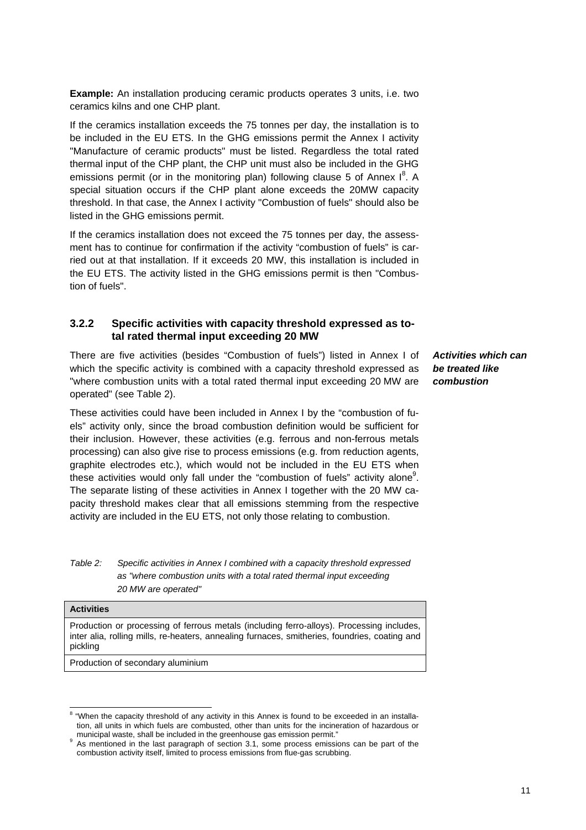**Example:** An installation producing ceramic products operates 3 units, i.e. two ceramics kilns and one CHP plant.

If the ceramics installation exceeds the 75 tonnes per day, the installation is to be included in the EU ETS. In the GHG emissions permit the Annex I activity "Manufacture of ceramic products" must be listed. Regardless the total rated thermal input of the CHP plant, the CHP unit must also be included in the GHG emissions permit (or in the monitoring plan) following clause 5 of Annex  $I^8$ . A special situation occurs if the CHP plant alone exceeds the 20MW capacity threshold. In that case, the Annex I activity "Combustion of fuels" should also be listed in the GHG emissions permit.

If the ceramics installation does not exceed the 75 tonnes per day, the assessment has to continue for confirmation if the activity "combustion of fuels" is carried out at that installation. If it exceeds 20 MW, this installation is included in the EU ETS. The activity listed in the GHG emissions permit is then "Combustion of fuels".

#### <span id="page-10-0"></span>**3.2.2 Specific activities with capacity threshold expressed as total rated thermal input exceeding 20 MW**

There are five activities (besides "Combustion of fuels") listed in Annex I of which the specific activity is combined with a capacity threshold expressed as "where combustion units with a total rated thermal input exceeding 20 MW are operated" (se[e Table 2\)](#page-10-1).

These activities could have been included in Annex I by the "combustion of fuels" activity only, since the broad combustion definition would be sufficient for their inclusion. However, these activities (e.g. ferrous and non-ferrous metals processing) can also give rise to process emissions (e.g. from reduction agents, graphite electrodes etc.), which would not be included in the EU ETS when these activities would only fall under the "combustion of fuels" activity alone<sup>9</sup>. The separate listing of these activities in Annex I together with the 20 MW capacity threshold makes clear that all emissions stemming from the respective activity are included in the EU ETS, not only those relating to combustion.

<span id="page-10-1"></span>*Table 2: Specific activities in Annex I combined with a capacity threshold expressed as "where combustion units with a total rated thermal input exceeding 20 MW are operated"* 

#### **Activities**  Production or processing of ferrous metals (including ferro-alloys). Processing includes, inter alia, rolling mills, re-heaters, annealing furnaces, smitheries, foundries, coating and pickling

Production of secondary aluminium

*Activities which can be treated like combustion* 

e<br><sup>8</sup> "When the capacity threshold of any activity in this Annex is found to be exceeded in an installation, all units in which fuels are combusted, other than units for the incineration of hazardous or municipal waste, shall be included in the greenhouse gas emission permit."

As mentioned in the last paragraph of section [3.1,](#page-7-1) some process emissions can be part of the combustion activity itself, limited to process emissions from flue-gas scrubbing.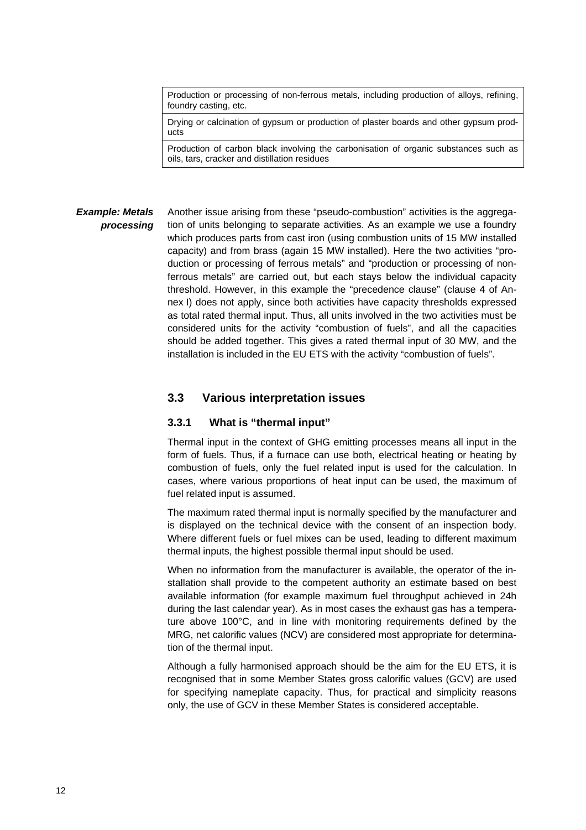Production or processing of non-ferrous metals, including production of alloys, refining, foundry casting, etc.

Drying or calcination of gypsum or production of plaster boards and other gypsum products

Production of carbon black involving the carbonisation of organic substances such as oils, tars, cracker and distillation residues

#### Another issue arising from these "pseudo-combustion" activities is the aggregation of units belonging to separate activities. As an example we use a foundry which produces parts from cast iron (using combustion units of 15 MW installed capacity) and from brass (again 15 MW installed). Here the two activities "production or processing of ferrous metals" and "production or processing of nonferrous metals" are carried out, but each stays below the individual capacity threshold. However, in this example the "precedence clause" (clause 4 of Annex I) does not apply, since both activities have capacity thresholds expressed as total rated thermal input. Thus, all units involved in the two activities must be considered units for the activity "combustion of fuels", and all the capacities should be added together. This gives a rated thermal input of 30 MW, and the installation is included in the EU ETS with the activity "combustion of fuels". *Example: Metals processing*

#### <span id="page-11-1"></span><span id="page-11-0"></span>**3.3 Various interpretation issues**

#### **3.3.1 What is "thermal input"**

Thermal input in the context of GHG emitting processes means all input in the form of fuels. Thus, if a furnace can use both, electrical heating or heating by combustion of fuels, only the fuel related input is used for the calculation. In cases, where various proportions of heat input can be used, the maximum of fuel related input is assumed.

The maximum rated thermal input is normally specified by the manufacturer and is displayed on the technical device with the consent of an inspection body. Where different fuels or fuel mixes can be used, leading to different maximum thermal inputs, the highest possible thermal input should be used.

When no information from the manufacturer is available, the operator of the installation shall provide to the competent authority an estimate based on best available information (for example maximum fuel throughput achieved in 24h during the last calendar year). As in most cases the exhaust gas has a temperature above 100°C, and in line with monitoring requirements defined by the MRG, net calorific values (NCV) are considered most appropriate for determination of the thermal input.

Although a fully harmonised approach should be the aim for the EU ETS, it is recognised that in some Member States gross calorific values (GCV) are used for specifying nameplate capacity. Thus, for practical and simplicity reasons only, the use of GCV in these Member States is considered acceptable.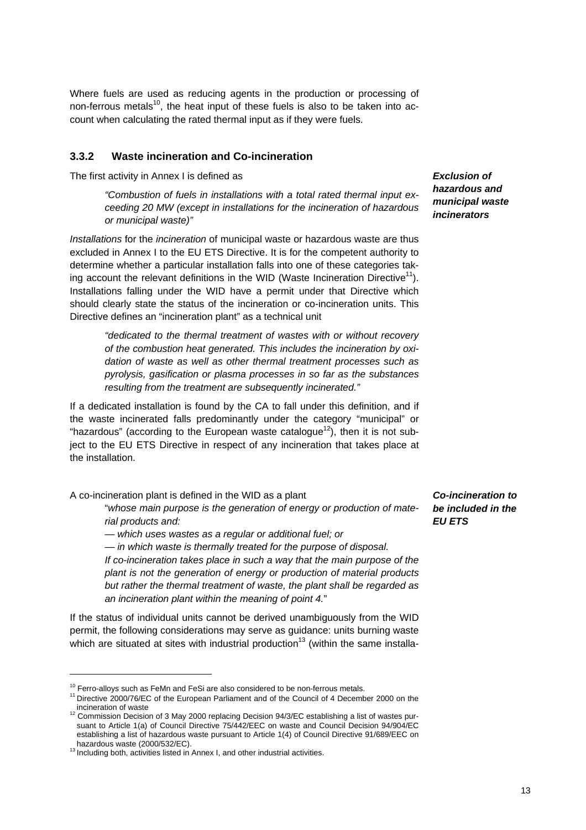Where fuels are used as reducing agents in the production or processing of non-ferrous metals<sup>10</sup>, the heat input of these fuels is also to be taken into account when calculating the rated thermal input as if they were fuels.

#### <span id="page-12-0"></span>**3.3.2 Waste incineration and Co-incineration**

The first activity in Annex I is defined as

*"Combustion of fuels in installations with a total rated thermal input exceeding 20 MW (except in installations for the incineration of hazardous or municipal waste)"* 

*Installations* for the *incineration* of municipal waste or hazardous waste are thus excluded in Annex I to the EU ETS Directive. It is for the competent authority to determine whether a particular installation falls into one of these categories taking account the relevant definitions in the WID (Waste Incineration Directive<sup>11</sup>). Installations falling under the WID have a permit under that Directive which should clearly state the status of the incineration or co-incineration units. This Directive defines an "incineration plant" as a technical unit

*"dedicated to the thermal treatment of wastes with or without recovery of the combustion heat generated. This includes the incineration by oxidation of waste as well as other thermal treatment processes such as pyrolysis, gasification or plasma processes in so far as the substances resulting from the treatment are subsequently incinerated."* 

If a dedicated installation is found by the CA to fall under this definition, and if the waste incinerated falls predominantly under the category "municipal" or "hazardous" (according to the European waste catalogue<sup>12</sup>), then it is not subject to the EU ETS Directive in respect of any incineration that takes place at the installation.

A co-incineration plant is defined in the WID as a plant

"*whose main purpose is the generation of energy or production of material products and:* 

*— which uses wastes as a regular or additional fuel; or* 

*— in which waste is thermally treated for the purpose of disposal. If co-incineration takes place in such a way that the main purpose of the plant is not the generation of energy or production of material products but rather the thermal treatment of waste, the plant shall be regarded as an incineration plant within the meaning of point 4.*"

If the status of individual units cannot be derived unambiguously from the WID permit, the following considerations may serve as guidance: units burning waste which are situated at sites with industrial production<sup>13</sup> (within the same installa-

l

*Exclusion of hazardous and municipal waste incinerators* 

*Co-incineration to be included in the EU ETS* 

 $10$  Ferro-alloys such as FeMn and FeSi are also considered to be non-ferrous metals.<br> $11$  Directive 2000/76/EC of the European Parliament and of the Council of 4 December 2000 on the

incineration of waste<br><sup>12</sup> Commission Decision of 3 May 2000 replacing Decision 94/3/EC establishing a list of wastes pursuant to Article 1(a) of Council Directive 75/442/EEC on waste and Council Decision 94/904/EC establishing a list of hazardous waste pursuant to Article 1(4) of Council Directive 91/689/EEC on hazardous waste (2000/532/EC). <sup>13</sup> Including both, activities listed in Annex I, and other industrial activities.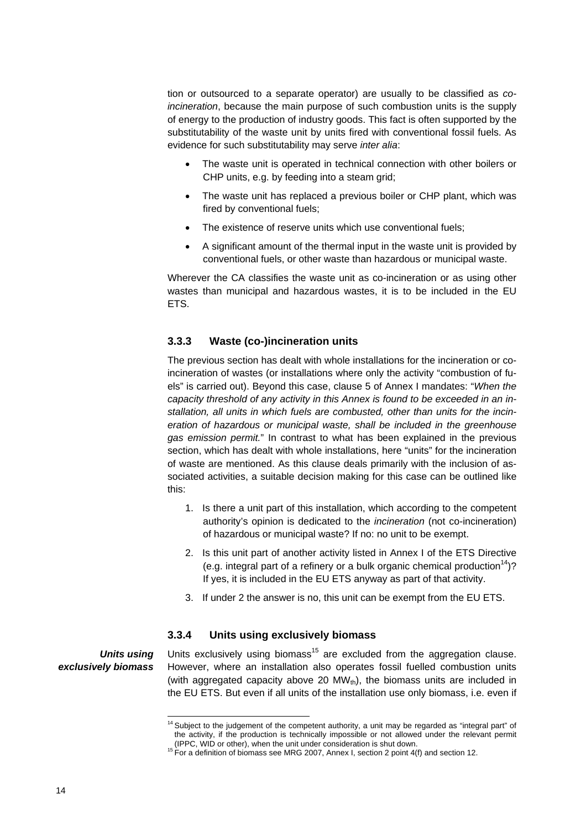tion or outsourced to a separate operator) are usually to be classified as *coincineration*, because the main purpose of such combustion units is the supply of energy to the production of industry goods. This fact is often supported by the substitutability of the waste unit by units fired with conventional fossil fuels. As evidence for such substitutability may serve *inter alia*:

- The waste unit is operated in technical connection with other boilers or CHP units, e.g. by feeding into a steam grid;
- The waste unit has replaced a previous boiler or CHP plant, which was fired by conventional fuels;
- The existence of reserve units which use conventional fuels;
- A significant amount of the thermal input in the waste unit is provided by conventional fuels, or other waste than hazardous or municipal waste.

Wherever the CA classifies the waste unit as co-incineration or as using other wastes than municipal and hazardous wastes, it is to be included in the EU ETS.

#### <span id="page-13-0"></span>**3.3.3 Waste (co-)incineration units**

The previous section has dealt with whole installations for the incineration or coincineration of wastes (or installations where only the activity "combustion of fuels" is carried out). Beyond this case, clause 5 of Annex I mandates: "*When the capacity threshold of any activity in this Annex is found to be exceeded in an installation, all units in which fuels are combusted, other than units for the incineration of hazardous or municipal waste, shall be included in the greenhouse gas emission permit.*" In contrast to what has been explained in the previous section, which has dealt with whole installations, here "units" for the incineration of waste are mentioned. As this clause deals primarily with the inclusion of associated activities, a suitable decision making for this case can be outlined like this:

- 1. Is there a unit part of this installation, which according to the competent authority's opinion is dedicated to the *incineration* (not co-incineration) of hazardous or municipal waste? If no: no unit to be exempt.
- 2. Is this unit part of another activity listed in Annex I of the ETS Directive (e.g. integral part of a refinery or a bulk organic chemical production<sup>14</sup>)? If yes, it is included in the EU ETS anyway as part of that activity.
- 3. If under 2 the answer is no, this unit can be exempt from the EU ETS.

### **3.3.4 Units using exclusively biomass**

<span id="page-13-1"></span>*Units using exclusively biomass* 

l

Units exclusively using biomass<sup>15</sup> are excluded from the aggregation clause. However, where an installation also operates fossil fuelled combustion units (with aggregated capacity above 20  $MW_{th}$ ), the biomass units are included in the EU ETS. But even if all units of the installation use only biomass, i.e. even if

 $14$  Subject to the judgement of the competent authority, a unit may be regarded as "integral part" of the activity, if the production is technically impossible or not allowed under the relevant permit

<sup>(</sup>IPPC, WID or other), when the unit under consideration is shut down.<br><sup>15</sup> For a definition of biomass see MRG 2007, Annex I, section 2 point 4(f) and section 12.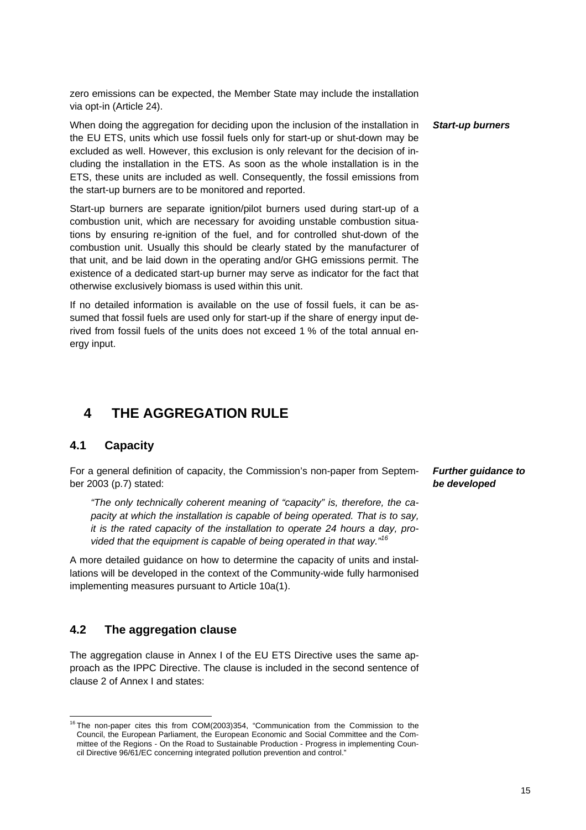zero emissions can be expected, the Member State may include the installation via opt-in (Article 24).

When doing the aggregation for deciding upon the inclusion of the installation in the EU ETS, units which use fossil fuels only for start-up or shut-down may be excluded as well. However, this exclusion is only relevant for the decision of including the installation in the ETS. As soon as the whole installation is in the ETS, these units are included as well. Consequently, the fossil emissions from the start-up burners are to be monitored and reported.

Start-up burners are separate ignition/pilot burners used during start-up of a combustion unit, which are necessary for avoiding unstable combustion situations by ensuring re-ignition of the fuel, and for controlled shut-down of the combustion unit. Usually this should be clearly stated by the manufacturer of that unit, and be laid down in the operating and/or GHG emissions permit. The existence of a dedicated start-up burner may serve as indicator for the fact that otherwise exclusively biomass is used within this unit.

If no detailed information is available on the use of fossil fuels, it can be assumed that fossil fuels are used only for start-up if the share of energy input derived from fossil fuels of the units does not exceed 1 % of the total annual energy input.

## <span id="page-14-0"></span>**4 THE AGGREGATION RULE**

### <span id="page-14-1"></span>**4.1 Capacity**

l

For a general definition of capacity, the Commission's non-paper from September 2003 (p.7) stated:

*"The only technically coherent meaning of "capacity" is, therefore, the capacity at which the installation is capable of being operated. That is to say, it is the rated capacity of the installation to operate 24 hours a day, provided that the equipment is capable of being operated in that way."16*

A more detailed guidance on how to determine the capacity of units and installations will be developed in the context of the Community-wide fully harmonised implementing measures pursuant to Article 10a(1).

### <span id="page-14-2"></span>**4.2 The aggregation clause**

The aggregation clause in Annex I of the EU ETS Directive uses the same approach as the IPPC Directive. The clause is included in the second sentence of clause 2 of Annex I and states:

*Start-up burners* 

*Further guidance to be developed* 

 $16$  The non-paper cites this from COM(2003)354, "Communication from the Commission to the Council, the European Parliament, the European Economic and Social Committee and the Committee of the Regions - On the Road to Sustainable Production - Progress in implementing Council Directive 96/61/EC concerning integrated pollution prevention and control."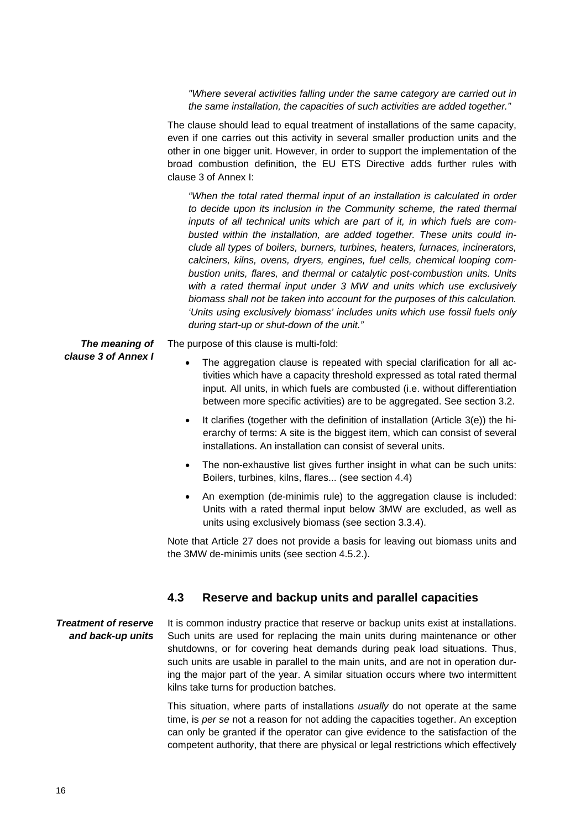*"Where several activities falling under the same category are carried out in the same installation, the capacities of such activities are added together."* 

The clause should lead to equal treatment of installations of the same capacity, even if one carries out this activity in several smaller production units and the other in one bigger unit. However, in order to support the implementation of the broad combustion definition, the EU ETS Directive adds further rules with clause 3 of Annex I:

*"When the total rated thermal input of an installation is calculated in order to decide upon its inclusion in the Community scheme, the rated thermal inputs of all technical units which are part of it, in which fuels are combusted within the installation, are added together. These units could include all types of boilers, burners, turbines, heaters, furnaces, incinerators, calciners, kilns, ovens, dryers, engines, fuel cells, chemical looping combustion units, flares, and thermal or catalytic post-combustion units. Units with a rated thermal input under 3 MW and units which use exclusively biomass shall not be taken into account for the purposes of this calculation. 'Units using exclusively biomass' includes units which use fossil fuels only during start-up or shut-down of the unit."* 

*The meaning of clause 3 of Annex I*  The purpose of this clause is multi-fold:

- The aggregation clause is repeated with special clarification for all activities which have a capacity threshold expressed as total rated thermal input. All units, in which fuels are combusted (i.e. without differentiation between more specific activities) are to be aggregated. See sectio[n 3.2.](#page-8-0)
- It clarifies (together with the definition of installation (Article 3(e)) the hierarchy of terms: A site is the biggest item, which can consist of several installations. An installation can consist of several units.
- The non-exhaustive list gives further insight in what can be such units: Boilers, turbines, kilns, flares... (see sectio[n 4.4\)](#page-16-0)
- An exemption (de-minimis rule) to the aggregation clause is included: Units with a rated thermal input below 3MW are excluded, as well as units using exclusively biomass (see section [3.3.4\)](#page-13-1).

Note that Article 27 does not provide a basis for leaving out biomass units and the 3MW de-minimis units (see section 4.5.2.).

### **4.3 Reserve and backup units and parallel capacities**

<span id="page-15-0"></span>It is common industry practice that reserve or backup units exist at installations. Such units are used for replacing the main units during maintenance or other shutdowns, or for covering heat demands during peak load situations. Thus, such units are usable in parallel to the main units, and are not in operation during the major part of the year. A similar situation occurs where two intermittent kilns take turns for production batches. *Treatment of reserve and back-up units* 

> This situation, where parts of installations *usually* do not operate at the same time, is *per se* not a reason for not adding the capacities together. An exception can only be granted if the operator can give evidence to the satisfaction of the competent authority, that there are physical or legal restrictions which effectively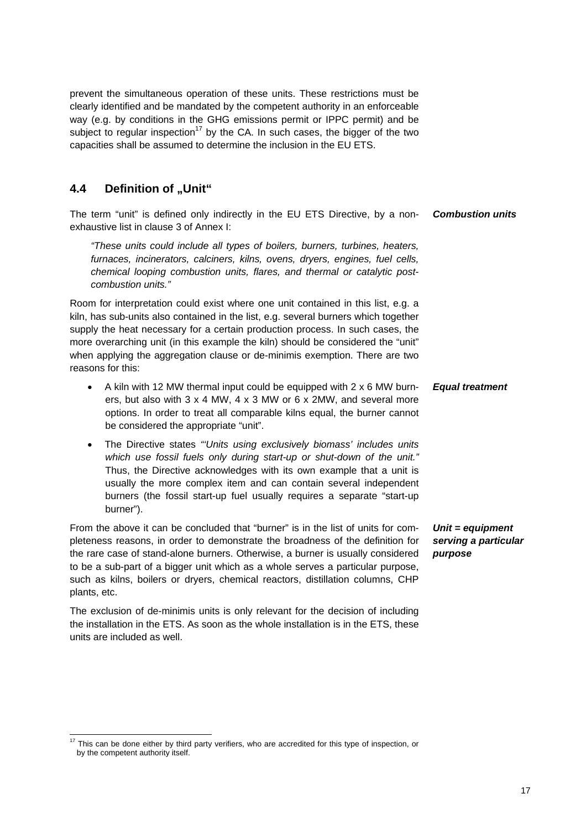prevent the simultaneous operation of these units. These restrictions must be clearly identified and be mandated by the competent authority in an enforceable way (e.g. by conditions in the GHG emissions permit or IPPC permit) and be subject to regular inspection<sup>17</sup> by the CA. In such cases, the bigger of the two capacities shall be assumed to determine the inclusion in the EU ETS.

### <span id="page-16-0"></span>**4.4 Definition of "Unit"**

The term "unit" is defined only indirectly in the EU ETS Directive, by a nonexhaustive list in clause 3 of Annex I: *Combustion units* 

*"These units could include all types of boilers, burners, turbines, heaters, furnaces, incinerators, calciners, kilns, ovens, dryers, engines, fuel cells, chemical looping combustion units, flares, and thermal or catalytic postcombustion units."* 

Room for interpretation could exist where one unit contained in this list, e.g. a kiln, has sub-units also contained in the list, e.g. several burners which together supply the heat necessary for a certain production process. In such cases, the more overarching unit (in this example the kiln) should be considered the "unit" when applying the aggregation clause or de-minimis exemption. There are two reasons for this:

- A kiln with 12 MW thermal input could be equipped with 2 x 6 MW burners, but also with 3 x 4 MW, 4 x 3 MW or 6 x 2MW, and several more options. In order to treat all comparable kilns equal, the burner cannot be considered the appropriate "unit". *Equal treatment*
- The Directive states *"'Units using exclusively biomass' includes units which use fossil fuels only during start-up or shut-down of the unit."* Thus, the Directive acknowledges with its own example that a unit is usually the more complex item and can contain several independent burners (the fossil start-up fuel usually requires a separate "start-up burner").

From the above it can be concluded that "burner" is in the list of units for completeness reasons, in order to demonstrate the broadness of the definition for the rare case of stand-alone burners. Otherwise, a burner is usually considered to be a sub-part of a bigger unit which as a whole serves a particular purpose, such as kilns, boilers or dryers, chemical reactors, distillation columns, CHP plants, etc.

The exclusion of de-minimis units is only relevant for the decision of including the installation in the ETS. As soon as the whole installation is in the ETS, these units are included as well.

l <sup>17</sup> This can be done either by third party verifiers, who are accredited for this type of inspection, or by the competent authority itself.

*Unit = equipment serving a particular purpose*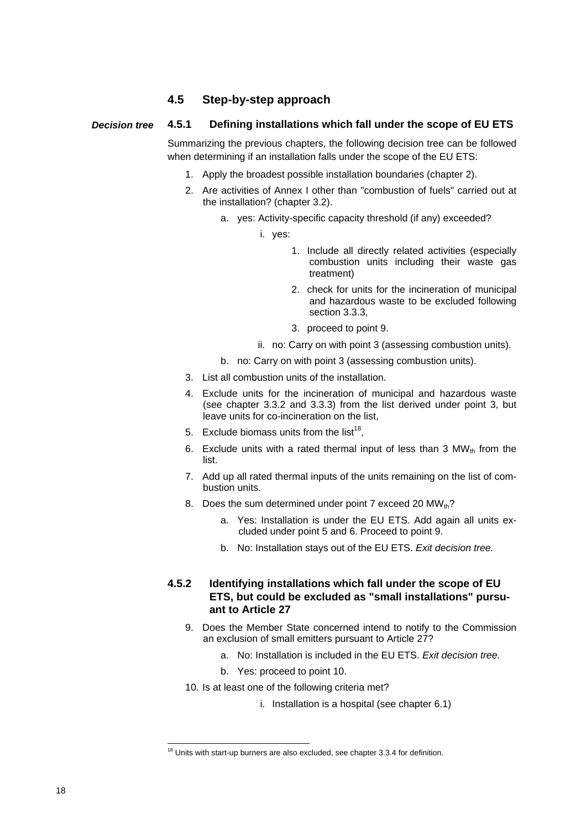### **4.5 Step-by-step approach**

#### <span id="page-17-1"></span><span id="page-17-0"></span>**4.5.1 Defining installations which fall under the scope of EU ETS**  *Decision tree*

Summarizing the previous chapters, the following decision tree can be followed when determining if an installation falls under the scope of the EU ETS:

- 1. Apply the broadest possible installation boundaries (chapte[r 2\).](#page-4-3)
- 2. Are activities of Annex I other than "combustion of fuels" carried out at the installation? (chapte[r 3.2\)](#page-8-0).
	- a. yes: Activity-specific capacity threshold (if any) exceeded?
		- i. yes:
			- 1. Include all directly related activities (especially combustion units including their waste gas treatment)
			- 2. check for units for the incineration of municipal and hazardous waste to be excluded following section [3.3.3,](#page-13-0)
			- 3. proceed to point [9.](#page-17-3)
		- ii. no: Carry on with poin[t 3 \(](#page-17-4)assessing combustion units).
	- b. no: Carry on with poin[t 3 \(](#page-17-4)assessing combustion units).
- <span id="page-17-4"></span>3. List all combustion units of the installation.
- 4. Exclude units for the incineration of municipal and hazardous waste (see chapter [3.3.2](#page-12-0) and [3.3.3\)](#page-13-0) from the list derived under point [3,](#page-17-4) but leave units for co-incineration on the list,
- <span id="page-17-7"></span><span id="page-17-6"></span>5. Exclude biomass units from the list<sup>18</sup>.
- 6. Exclude units with a rated thermal input of less than  $3 \text{ MW}_{\text{th}}$  from the list.
- <span id="page-17-5"></span>7. Add up all rated thermal inputs of the units remaining on the list of combustion units.
- 8. Does the sum determined under point [7 e](#page-17-5)xceed 20  $MW_{th}$ ?
	- a. Yes: Installation is under the EU ETS. Add again all units excluded under poin[t 5 a](#page-17-6)n[d 6.](#page-17-7) Proceed to point [9.](#page-17-3)
	- b. No: Installation stays out of the EU ETS. *Exit decision tree.*

#### <span id="page-17-3"></span><span id="page-17-2"></span>**4.5.2 Identifying installations which fall under the scope of EU ETS, but could be excluded as "small installations" pursuant to Article 27**

- 9. Does the Member State concerned intend to notify to the Commission an exclusion of small emitters pursuant to Article 27?
	- a. No: Installation is included in the EU ETS. *Exit decision tree.*
	- b. Yes: proceed to point [10.](#page-17-8)
- 10. Is at least one of the following criteria met?
	- i. Installation is a hospital (see chapte[r 6.1\)](#page-21-2)

<span id="page-17-8"></span> $\overline{a}$ 

 $18$  Units with start-up burners are also excluded, see chapter 3.3.4 for definition.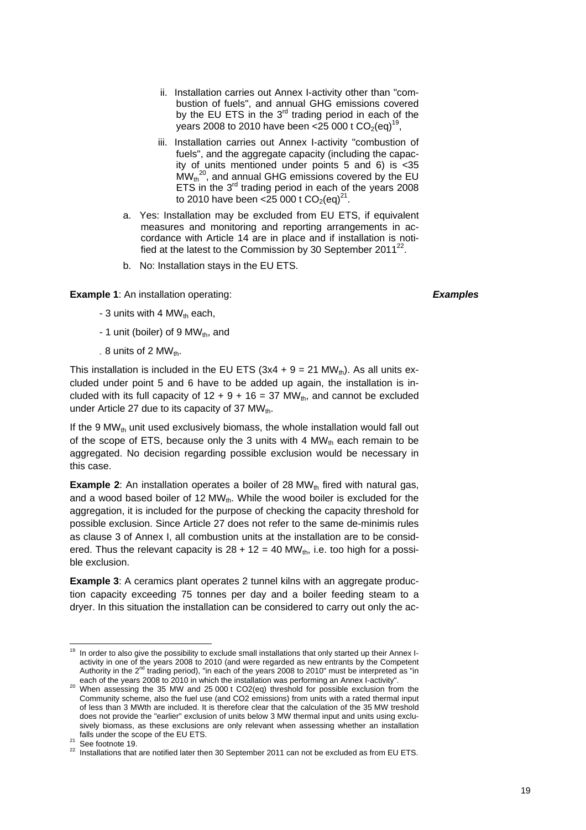- ii. Installation carries out Annex I-activity other than "combustion of fuels", and annual GHG emissions covered by the EU ETS in the  $3<sup>rd</sup>$  trading period in each of the years 2008 to 2010 have been <25 000 t  $CO_2$ (eq)<sup>19</sup>,
- iii. Installation carries out Annex I-activity "combustion of fuels", and the aggregate capacity (including the capacity of units mentioned under points [5](#page-17-6) and [6\)](#page-17-7) is <35  $\dot{MW}_{th}^{20}$ , and annual GHG emissions covered by the EU ETS in the  $3^{rd}$  trading period in each of the years  $2008$ to 2010 have been <25 000 t  $CO_2$ (eq)<sup>21</sup>.
- a. Yes: Installation may be excluded from EU ETS, if equivalent measures and monitoring and reporting arrangements in accordance with Article 14 are in place and if installation is notified at the latest to the Commission by 30 September  $2011^{22}$ .
- b. No: Installation stays in the EU ETS.

**Example 1**: An installation operating:

*Examples* 

- 3 units with 4 MW $_{th}$  each,
- 1 unit (boiler) of 9  $MW_{th}$ , and
- $.8$  units of 2 MW<sub>th</sub>.

This installation is included in the EU ETS ( $3x4 + 9 = 21$  MW<sub>th</sub>). As all units excluded under point [5](#page-17-6) and [6](#page-17-7) have to be added up again, the installation is included with its full capacity of  $12 + 9 + 16 = 37$  MW<sub>th</sub>, and cannot be excluded under Article 27 due to its capacity of 37  $MW_{th}$ .

If the 9 MW<sub>th</sub> unit used exclusively biomass, the whole installation would fall out of the scope of ETS, because only the 3 units with 4  $MW_{th}$  each remain to be aggregated. No decision regarding possible exclusion would be necessary in this case.

**Example 2:** An installation operates a boiler of 28 MW<sub>th</sub> fired with natural gas, and a wood based boiler of 12  $MW_{th}$ . While the wood boiler is excluded for the aggregation, it is included for the purpose of checking the capacity threshold for possible exclusion. Since Article 27 does not refer to the same de-minimis rules as clause 3 of Annex I, all combustion units at the installation are to be considered. Thus the relevant capacity is  $28 + 12 = 40$  MW<sub>th</sub>, i.e. too high for a possible exclusion.

**Example 3:** A ceramics plant operates 2 tunnel kilns with an aggregate production capacity exceeding 75 tonnes per day and a boiler feeding steam to a dryer. In this situation the installation can be considered to carry out only the ac-

l

 $19$  In order to also give the possibility to exclude small installations that only started up their Annex Iactivity in one of the years 2008 to 2010 (and were regarded as new entrants by the Competent Authority in the  $2^{nd}$  trading period), "in each of the years 2008 to 2010" must be interpreted as "in

each of the years 2008 to 2010 in which the installation was performing an Annex I-activity".<br><sup>20</sup> When assessing the 35 MW and 25 000 t CO2(eq) threshold for possible exclusion from the Community scheme, also the fuel use (and CO2 emissions) from units with a rated thermal input of less than 3 MWth are included. It is therefore clear that the calculation of the 35 MW treshold does not provide the "earlier" exclusion of units below 3 MW thermal input and units using exclusively biomass, as these exclusions are only relevant when assessing whether an installation

falls under the scope of the EU ETS.<br>
<sup>21</sup> See footnote 19.<br>
<sup>22</sup> Installations that are notified later then 30 September 2011 can not be excluded as from EU ETS.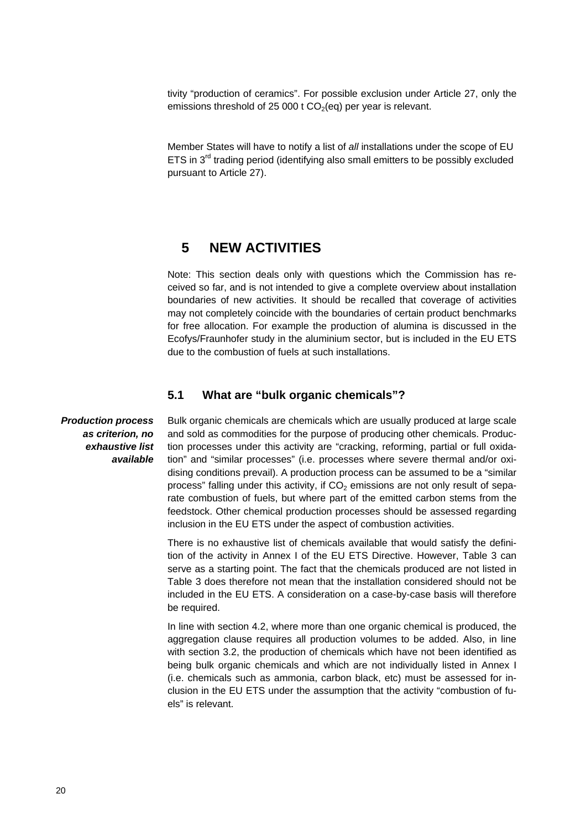tivity "production of ceramics". For possible exclusion under Article 27, only the emissions threshold of 25 000 t  $CO<sub>2</sub>(eq)$  per year is relevant.

Member States will have to notify a list of *all* installations under the scope of EU ETS in  $3<sup>rd</sup>$  trading period (identifying also small emitters to be possibly excluded pursuant to Article 27).

### **5 NEW ACTIVITIES**

<span id="page-19-0"></span>Note: This section deals only with questions which the Commission has received so far, and is not intended to give a complete overview about installation boundaries of new activities. It should be recalled that coverage of activities may not completely coincide with the boundaries of certain product benchmarks for free allocation. For example the production of alumina is discussed in the Ecofys/Fraunhofer study in the aluminium sector, but is included in the EU ETS due to the combustion of fuels at such installations.

### **5.1 What are "bulk organic chemicals"?**

<span id="page-19-1"></span>*Production process as criterion, no exhaustive list available* 

Bulk organic chemicals are chemicals which are usually produced at large scale and sold as commodities for the purpose of producing other chemicals. Production processes under this activity are "cracking, reforming, partial or full oxidation" and "similar processes" (i.e. processes where severe thermal and/or oxidising conditions prevail). A production process can be assumed to be a "similar process" falling under this activity, if  $CO<sub>2</sub>$  emissions are not only result of separate combustion of fuels, but where part of the emitted carbon stems from the feedstock. Other chemical production processes should be assessed regarding inclusion in the EU ETS under the aspect of combustion activities.

There is no exhaustive list of chemicals available that would satisfy the definition of the activity in Annex I of the EU ETS Directive. However, [Table 3](#page-20-2) can serve as a starting point. The fact that the chemicals produced are not listed in [Table 3](#page-20-2) does therefore not mean that the installation considered should not be included in the EU ETS. A consideration on a case-by-case basis will therefore be required.

In line with section [4.2,](#page-14-2) where more than one organic chemical is produced, the aggregation clause requires all production volumes to be added. Also, in line with sectio[n 3.2,](#page-8-0) the production of chemicals which have not been identified as being bulk organic chemicals and which are not individually listed in Annex I (i.e. chemicals such as ammonia, carbon black, etc) must be assessed for inclusion in the EU ETS under the assumption that the activity "combustion of fuels" is relevant.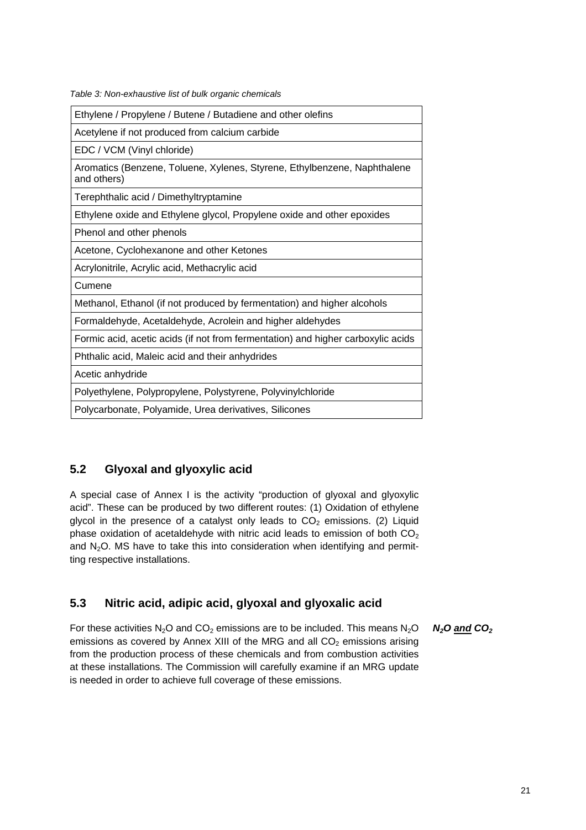<span id="page-20-2"></span>

| Table 3: Non-exhaustive list of bulk organic chemicals |  |  |
|--------------------------------------------------------|--|--|

| Ethylene / Propylene / Butene / Butadiene and other olefins                             |
|-----------------------------------------------------------------------------------------|
| Acetylene if not produced from calcium carbide                                          |
| EDC / VCM (Vinyl chloride)                                                              |
| Aromatics (Benzene, Toluene, Xylenes, Styrene, Ethylbenzene, Naphthalene<br>and others) |
| Terephthalic acid / Dimethyltryptamine                                                  |
| Ethylene oxide and Ethylene glycol, Propylene oxide and other epoxides                  |
| Phenol and other phenols                                                                |
| Acetone, Cyclohexanone and other Ketones                                                |
| Acrylonitrile, Acrylic acid, Methacrylic acid                                           |
| Cumene                                                                                  |
| Methanol, Ethanol (if not produced by fermentation) and higher alcohols                 |
| Formaldehyde, Acetaldehyde, Acrolein and higher aldehydes                               |
| Formic acid, acetic acids (if not from fermentation) and higher carboxylic acids        |
| Phthalic acid, Maleic acid and their anhydrides                                         |
| Acetic anhydride                                                                        |
| Polyethylene, Polypropylene, Polystyrene, Polyvinylchloride                             |
| Polycarbonate, Polyamide, Urea derivatives, Silicones                                   |

### <span id="page-20-0"></span>**5.2 Glyoxal and glyoxylic acid**

A special case of Annex I is the activity "production of glyoxal and glyoxylic acid". These can be produced by two different routes: (1) Oxidation of ethylene glycol in the presence of a catalyst only leads to  $CO<sub>2</sub>$  emissions. (2) Liquid phase oxidation of acetaldehyde with nitric acid leads to emission of both  $CO<sub>2</sub>$ and  $N<sub>2</sub>O$ . MS have to take this into consideration when identifying and permitting respective installations.

### <span id="page-20-1"></span>**5.3 Nitric acid, adipic acid, glyoxal and glyoxalic acid**

For these activities  $N_2O$  and  $CO_2$  emissions are to be included. This means  $N_2O$ emissions as covered by Annex XIII of the MRG and all  $CO<sub>2</sub>$  emissions arising from the production process of these chemicals and from combustion activities at these installations. The Commission will carefully examine if an MRG update is needed in order to achieve full coverage of these emissions. *N2O and CO2*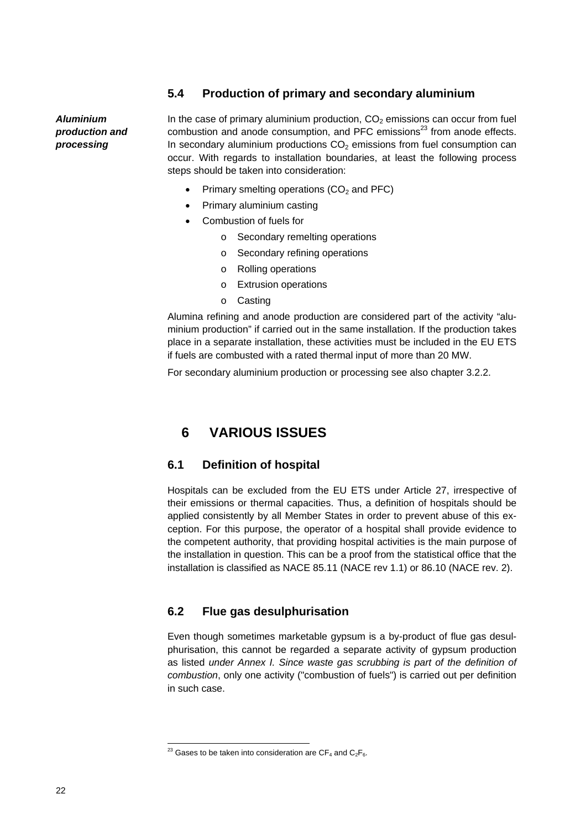### **5.4 Production of primary and secondary aluminium**

<span id="page-21-0"></span>*Aluminium production and processing* 

In the case of primary aluminium production,  $CO<sub>2</sub>$  emissions can occur from fuel combustion and anode consumption, and PFC emissions<sup>23</sup> from anode effects. In secondary aluminium productions  $CO<sub>2</sub>$  emissions from fuel consumption can occur. With regards to installation boundaries, at least the following process steps should be taken into consideration:

- Primary smelting operations  $(CO<sub>2</sub>$  and PFC)
- Primary aluminium casting
- Combustion of fuels for
	- o Secondary remelting operations
	- o Secondary refining operations
	- o Rolling operations
	- o Extrusion operations
	- o Casting

Alumina refining and anode production are considered part of the activity "aluminium production" if carried out in the same installation. If the production takes place in a separate installation, these activities must be included in the EU ETS if fuels are combusted with a rated thermal input of more than 20 MW.

<span id="page-21-1"></span>For secondary aluminium production or processing see also chapter [3.2.2.](#page-10-0) 

# **6 VARIOUS ISSUES**

### <span id="page-21-2"></span>**6.1 Definition of hospital**

Hospitals can be excluded from the EU ETS under Article 27, irrespective of their emissions or thermal capacities. Thus, a definition of hospitals should be applied consistently by all Member States in order to prevent abuse of this exception. For this purpose, the operator of a hospital shall provide evidence to the competent authority, that providing hospital activities is the main purpose of the installation in question. This can be a proof from the statistical office that the installation is classified as NACE 85.11 (NACE rev 1.1) or 86.10 (NACE rev. 2).

### <span id="page-21-3"></span>**6.2 Flue gas desulphurisation**

Even though sometimes marketable gypsum is a by-product of flue gas desulphurisation, this cannot be regarded a separate activity of gypsum production as listed *under Annex I. Since waste gas scrubbing is part of the definition of combustion*, only one activity ("combustion of fuels") is carried out per definition in such case.

 $\overline{a}$ 

<sup>&</sup>lt;sup>23</sup> Gases to be taken into consideration are CF<sub>4</sub> and C<sub>2</sub>F<sub>6</sub>.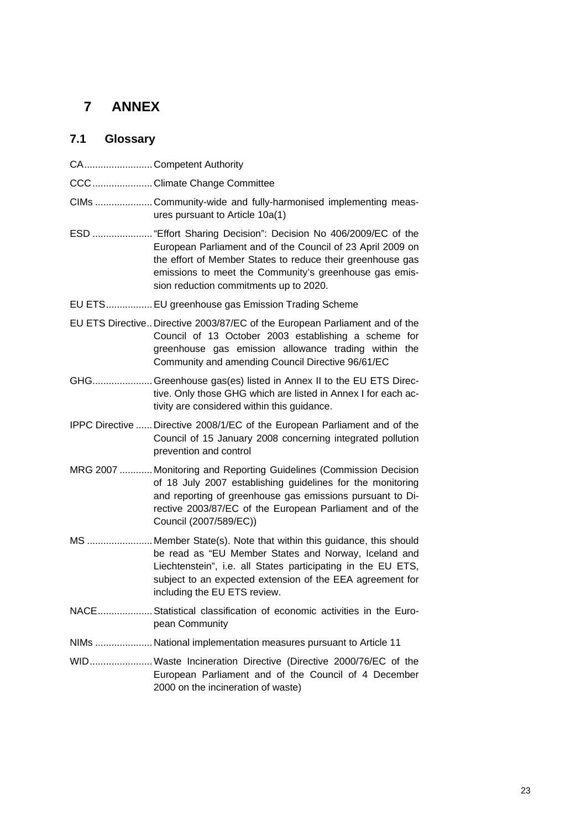# <span id="page-22-0"></span>**7 ANNEX**

# **7.1 Glossary**

<span id="page-22-1"></span>

|  | CACompetent Authority                                                                                                                                                                                                                                                                          |
|--|------------------------------------------------------------------------------------------------------------------------------------------------------------------------------------------------------------------------------------------------------------------------------------------------|
|  | CCC  Climate Change Committee                                                                                                                                                                                                                                                                  |
|  | CIMs  Community-wide and fully-harmonised implementing meas-<br>ures pursuant to Article 10a(1)                                                                                                                                                                                                |
|  | ESD  "Effort Sharing Decision": Decision No 406/2009/EC of the<br>European Parliament and of the Council of 23 April 2009 on<br>the effort of Member States to reduce their greenhouse gas<br>emissions to meet the Community's greenhouse gas emis-<br>sion reduction commitments up to 2020. |
|  | EU ETS EU greenhouse gas Emission Trading Scheme                                                                                                                                                                                                                                               |
|  | EU ETS Directive Directive 2003/87/EC of the European Parliament and of the<br>Council of 13 October 2003 establishing a scheme for<br>greenhouse gas emission allowance trading within the<br>Community and amending Council Directive 96/61/EC                                               |
|  | GHG Greenhouse gas(es) listed in Annex II to the EU ETS Direc-<br>tive. Only those GHG which are listed in Annex I for each ac-<br>tivity are considered within this guidance.                                                                                                                 |
|  | IPPC Directive  Directive 2008/1/EC of the European Parliament and of the<br>Council of 15 January 2008 concerning integrated pollution<br>prevention and control                                                                                                                              |
|  | MRG 2007  Monitoring and Reporting Guidelines (Commission Decision<br>of 18 July 2007 establishing guidelines for the monitoring<br>and reporting of greenhouse gas emissions pursuant to Di-<br>rective 2003/87/EC of the European Parliament and of the<br>Council (2007/589/EC))            |
|  | MS  Member State(s). Note that within this guidance, this should<br>be read as "EU Member States and Norway, Iceland and<br>Liechtenstein", i.e. all States participating in the EU ETS,<br>subject to an expected extension of the EEA agreement for<br>including the EU ETS review.          |
|  | NACE Statistical classification of economic activities in the Euro-<br>pean Community                                                                                                                                                                                                          |
|  | NIMs  National implementation measures pursuant to Article 11                                                                                                                                                                                                                                  |
|  | WID Waste Incineration Directive (Directive 2000/76/EC of the<br>European Parliament and of the Council of 4 December<br>2000 on the incineration of waste)                                                                                                                                    |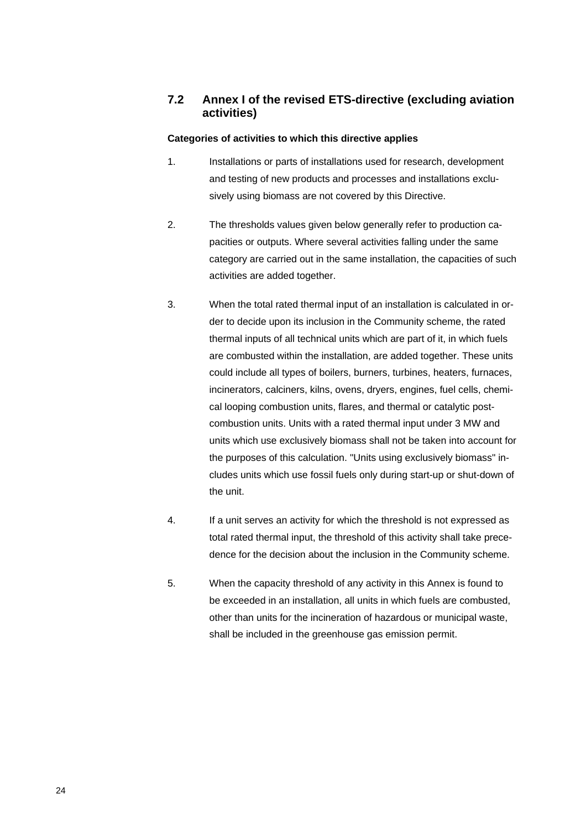### <span id="page-23-0"></span>**7.2 Annex I of the revised ETS-directive (excluding aviation activities)**

#### **Categories of activities to which this directive applies**

- 1. Installations or parts of installations used for research, development and testing of new products and processes and installations exclusively using biomass are not covered by this Directive.
- 2. The thresholds values given below generally refer to production capacities or outputs. Where several activities falling under the same category are carried out in the same installation, the capacities of such activities are added together.
- 3. When the total rated thermal input of an installation is calculated in order to decide upon its inclusion in the Community scheme, the rated thermal inputs of all technical units which are part of it, in which fuels are combusted within the installation, are added together. These units could include all types of boilers, burners, turbines, heaters, furnaces, incinerators, calciners, kilns, ovens, dryers, engines, fuel cells, chemical looping combustion units, flares, and thermal or catalytic postcombustion units. Units with a rated thermal input under 3 MW and units which use exclusively biomass shall not be taken into account for the purposes of this calculation. "Units using exclusively biomass" includes units which use fossil fuels only during start-up or shut-down of the unit.
- 4. If a unit serves an activity for which the threshold is not expressed as total rated thermal input, the threshold of this activity shall take precedence for the decision about the inclusion in the Community scheme.
- 5. When the capacity threshold of any activity in this Annex is found to be exceeded in an installation, all units in which fuels are combusted, other than units for the incineration of hazardous or municipal waste, shall be included in the greenhouse gas emission permit.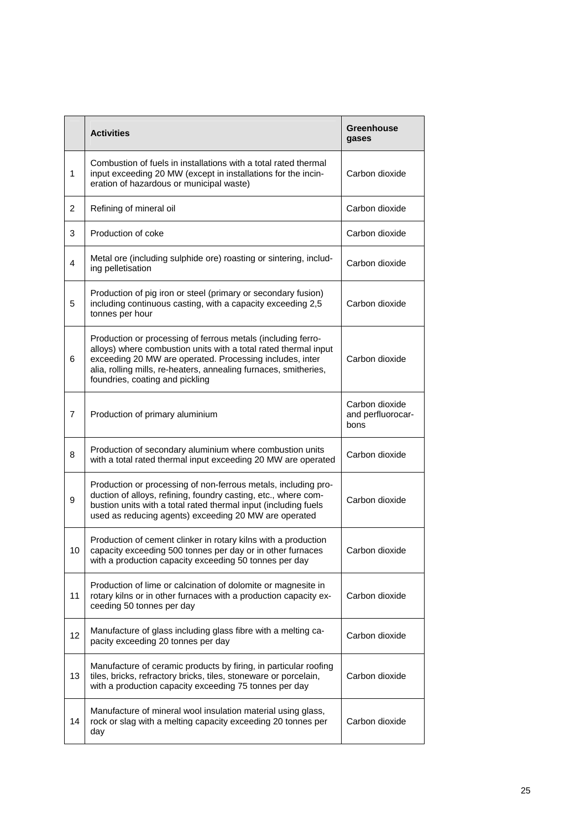|                | <b>Activities</b>                                                                                                                                                                                                                                                                                  | <b>Greenhouse</b><br>gases                  |
|----------------|----------------------------------------------------------------------------------------------------------------------------------------------------------------------------------------------------------------------------------------------------------------------------------------------------|---------------------------------------------|
| 1              | Combustion of fuels in installations with a total rated thermal<br>input exceeding 20 MW (except in installations for the incin-<br>eration of hazardous or municipal waste)                                                                                                                       | Carbon dioxide                              |
| 2              | Refining of mineral oil                                                                                                                                                                                                                                                                            | Carbon dioxide                              |
| 3              | Production of coke                                                                                                                                                                                                                                                                                 | Carbon dioxide                              |
| 4              | Metal ore (including sulphide ore) roasting or sintering, includ-<br>ing pelletisation                                                                                                                                                                                                             | Carbon dioxide                              |
| 5              | Production of pig iron or steel (primary or secondary fusion)<br>including continuous casting, with a capacity exceeding 2,5<br>tonnes per hour                                                                                                                                                    | Carbon dioxide                              |
| 6              | Production or processing of ferrous metals (including ferro-<br>alloys) where combustion units with a total rated thermal input<br>exceeding 20 MW are operated. Processing includes, inter<br>alia, rolling mills, re-heaters, annealing furnaces, smitheries,<br>foundries, coating and pickling | Carbon dioxide                              |
| $\overline{7}$ | Production of primary aluminium                                                                                                                                                                                                                                                                    | Carbon dioxide<br>and perfluorocar-<br>bons |
| 8              | Production of secondary aluminium where combustion units<br>with a total rated thermal input exceeding 20 MW are operated                                                                                                                                                                          | Carbon dioxide                              |
| 9              | Production or processing of non-ferrous metals, including pro-<br>duction of alloys, refining, foundry casting, etc., where com-<br>bustion units with a total rated thermal input (including fuels<br>used as reducing agents) exceeding 20 MW are operated                                       | Carbon dioxide                              |
| 10             | Production of cement clinker in rotary kilns with a production<br>capacity exceeding 500 tonnes per day or in other furnaces<br>with a production capacity exceeding 50 tonnes per day                                                                                                             | Carbon dioxide                              |
| 11             | Production of lime or calcination of dolomite or magnesite in<br>rotary kilns or in other furnaces with a production capacity ex-<br>ceeding 50 tonnes per day                                                                                                                                     | Carbon dioxide                              |
| 12             | Manufacture of glass including glass fibre with a melting ca-<br>pacity exceeding 20 tonnes per day                                                                                                                                                                                                | Carbon dioxide                              |
| 13             | Manufacture of ceramic products by firing, in particular roofing<br>tiles, bricks, refractory bricks, tiles, stoneware or porcelain,<br>with a production capacity exceeding 75 tonnes per day                                                                                                     | Carbon dioxide                              |
| 14             | Manufacture of mineral wool insulation material using glass,<br>rock or slag with a melting capacity exceeding 20 tonnes per<br>day                                                                                                                                                                | Carbon dioxide                              |